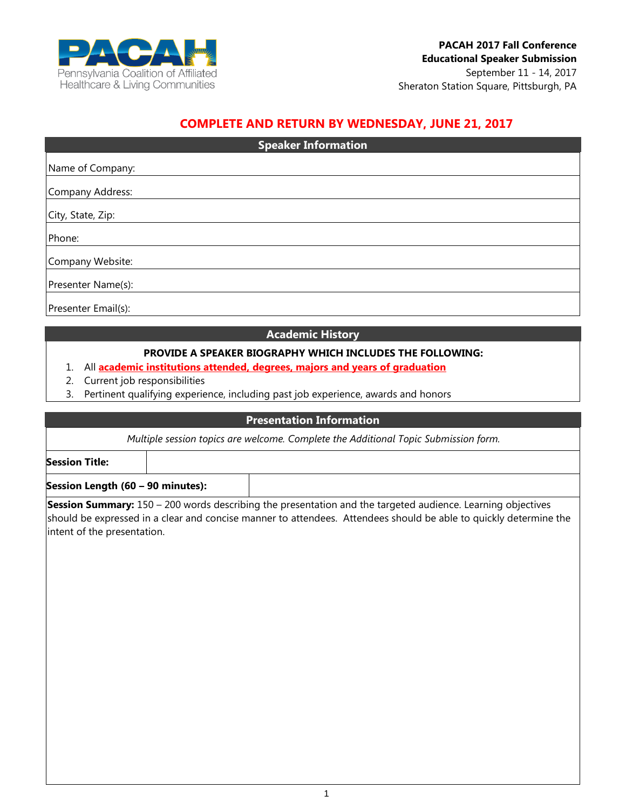

# **COMPLETE AND RETURN BY WEDNESDAY, JUNE 21, 2017**

| <b>Speaker Information</b> |  |  |
|----------------------------|--|--|
| Name of Company:           |  |  |
|                            |  |  |
| Company Address:           |  |  |
| City, State, Zip:          |  |  |
| Phone:                     |  |  |
| Company Website:           |  |  |
| Presenter Name(s):         |  |  |
| Presenter Email(s):        |  |  |

#### **Academic History**

## **PROVIDE A SPEAKER BIOGRAPHY WHICH INCLUDES THE FOLLOWING:**

#### 1. All **academic institutions attended, degrees, majors and years of graduation**

- 2. Current job responsibilities
- 3. Pertinent qualifying experience, including past job experience, awards and honors

#### **Presentation Information**

*Multiple session topics are welcome. Complete the Additional Topic Submission form.*

**Session Title:**

**Session Length (60 – 90 minutes):**

**Session Summary:** 150 – 200 words describing the presentation and the targeted audience. Learning objectives should be expressed in a clear and concise manner to attendees. Attendees should be able to quickly determine the intent of the presentation.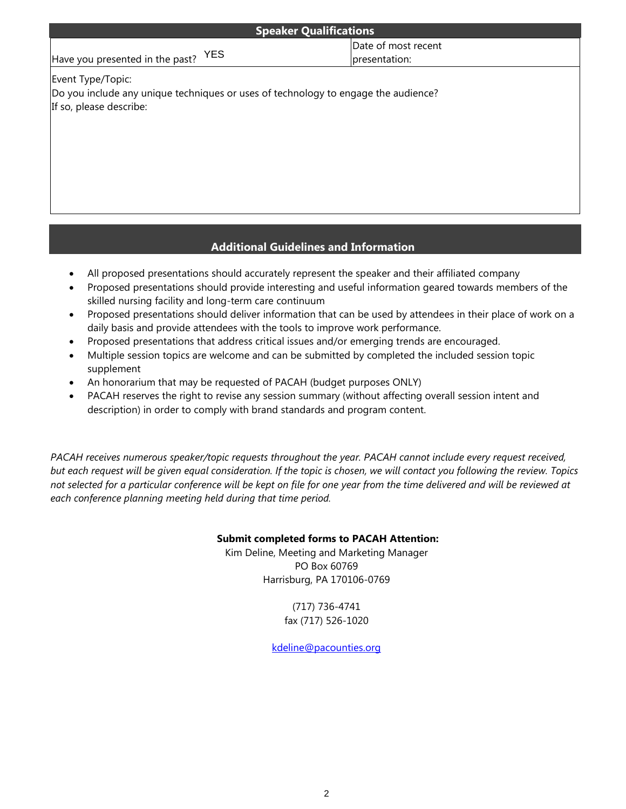| <b>Speaker Qualifications</b>                                                                                                      |                                      |  |  |
|------------------------------------------------------------------------------------------------------------------------------------|--------------------------------------|--|--|
| YES<br>Have you presented in the past?                                                                                             | Date of most recent<br>presentation: |  |  |
| Event Type/Topic:<br>Do you include any unique techniques or uses of technology to engage the audience?<br>If so, please describe: |                                      |  |  |
|                                                                                                                                    |                                      |  |  |

## **Additional Guidelines and Information**

- All proposed presentations should accurately represent the speaker and their affiliated company
- Proposed presentations should provide interesting and useful information geared towards members of the skilled nursing facility and long-term care continuum
- Proposed presentations should deliver information that can be used by attendees in their place of work on a daily basis and provide attendees with the tools to improve work performance.
- Proposed presentations that address critical issues and/or emerging trends are encouraged.
- Multiple session topics are welcome and can be submitted by completed the included session topic supplement
- An honorarium that may be requested of PACAH (budget purposes ONLY)
- PACAH reserves the right to revise any session summary (without affecting overall session intent and description) in order to comply with brand standards and program content.

*PACAH receives numerous speaker/topic requests throughout the year. PACAH cannot include every request received, but each request will be given equal consideration. If the topic is chosen, we will contact you following the review. Topics not selected for a particular conference will be kept on file for one year from the time delivered and will be reviewed at each conference planning meeting held during that time period.* 

### **Submit completed forms to PACAH Attention:**

Kim Deline, Meeting and Marketing Manager PO Box 60769 Harrisburg, PA 170106-0769

> (717) 736-4741 fax (717) 526-1020

[kdeline@pacounties.org](mailto:kdeline@pacounties.org)